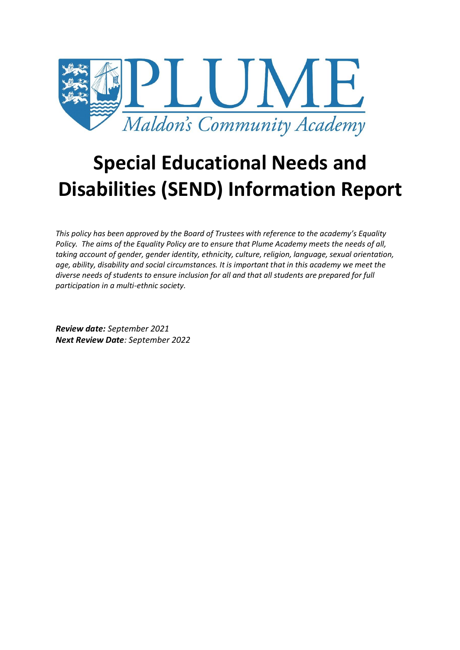

# **Special Educational Needs and Disabilities (SEND) Information Report**

*This policy has been approved by the Board of Trustees with reference to the academy's Equality Policy. The aims of the Equality Policy are to ensure that Plume Academy meets the needs of all, taking account of gender, gender identity, ethnicity, culture, religion, language, sexual orientation, age, ability, disability and social circumstances. It is important that in this academy we meet the diverse needs of students to ensure inclusion for all and that all students are prepared for full participation in a multi-ethnic society.*

*Review date: September 2021 Next Review Date: September 2022*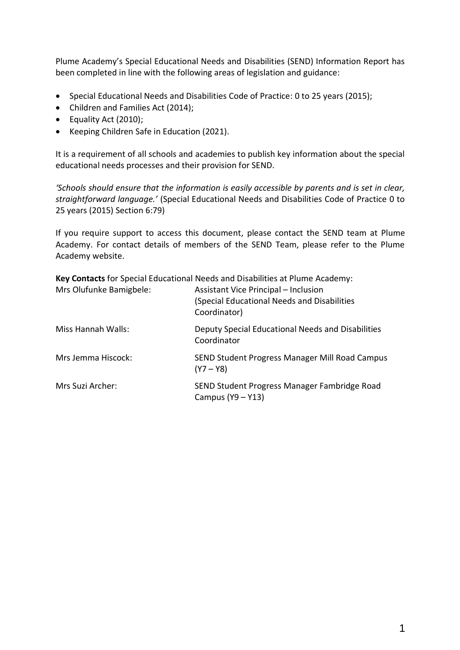Plume Academy's Special Educational Needs and Disabilities (SEND) Information Report has been completed in line with the following areas of legislation and guidance:

- Special Educational Needs and Disabilities Code of Practice: 0 to 25 years (2015);
- Children and Families Act (2014);
- Equality Act (2010);
- Keeping Children Safe in Education (2021).

It is a requirement of all schools and academies to publish key information about the special educational needs processes and their provision for SEND.

*'Schools should ensure that the information is easily accessible by parents and is set in clear, straightforward language.'* (Special Educational Needs and Disabilities Code of Practice 0 to 25 years (2015) Section 6:79)

If you require support to access this document, please contact the SEND team at Plume Academy. For contact details of members of the SEND Team, please refer to the Plume Academy website.

|                         | Key Contacts for Special Educational Needs and Disabilities at Plume Academy:                       |
|-------------------------|-----------------------------------------------------------------------------------------------------|
| Mrs Olufunke Bamigbele: | Assistant Vice Principal - Inclusion<br>(Special Educational Needs and Disabilities<br>Coordinator) |
| Miss Hannah Walls:      | Deputy Special Educational Needs and Disabilities<br>Coordinator                                    |
| Mrs Jemma Hiscock:      | SEND Student Progress Manager Mill Road Campus<br>$(Y7 - Y8)$                                       |
| Mrs Suzi Archer:        | SEND Student Progress Manager Fambridge Road<br>Campus (Y9 - Y13)                                   |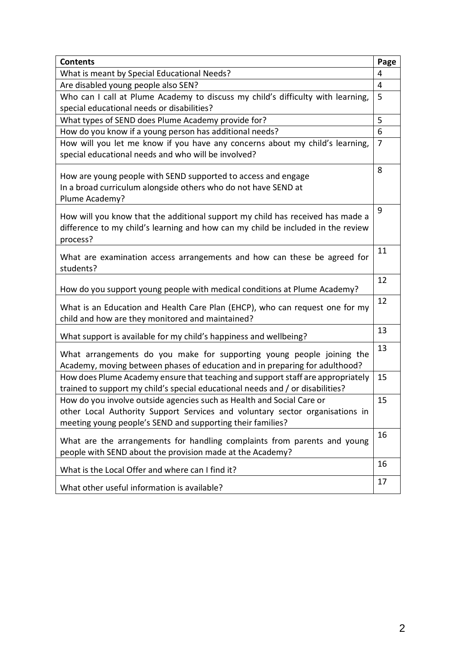| <b>Contents</b>                                                                  | Page |
|----------------------------------------------------------------------------------|------|
| What is meant by Special Educational Needs?                                      |      |
| Are disabled young people also SEN?                                              |      |
| Who can I call at Plume Academy to discuss my child's difficulty with learning,  |      |
| special educational needs or disabilities?                                       |      |
| What types of SEND does Plume Academy provide for?                               |      |
| How do you know if a young person has additional needs?                          |      |
| How will you let me know if you have any concerns about my child's learning,     |      |
| special educational needs and who will be involved?                              |      |
| How are young people with SEND supported to access and engage                    | 8    |
| In a broad curriculum alongside others who do not have SEND at                   |      |
| Plume Academy?                                                                   |      |
|                                                                                  | 9    |
| How will you know that the additional support my child has received has made a   |      |
| difference to my child's learning and how can my child be included in the review |      |
| process?                                                                         |      |
| What are examination access arrangements and how can these be agreed for         | 11   |
| students?                                                                        |      |
|                                                                                  | 12   |
| How do you support young people with medical conditions at Plume Academy?        |      |
| What is an Education and Health Care Plan (EHCP), who can request one for my     |      |
| child and how are they monitored and maintained?                                 |      |
|                                                                                  | 13   |
| What support is available for my child's happiness and wellbeing?                |      |
| What arrangements do you make for supporting young people joining the            | 13   |
| Academy, moving between phases of education and in preparing for adulthood?      |      |
| How does Plume Academy ensure that teaching and support staff are appropriately  | 15   |
| trained to support my child's special educational needs and / or disabilities?   |      |
| How do you involve outside agencies such as Health and Social Care or            | 15   |
| other Local Authority Support Services and voluntary sector organisations in     |      |
| meeting young people's SEND and supporting their families?                       |      |
| What are the arrangements for handling complaints from parents and young         | 16   |
| people with SEND about the provision made at the Academy?                        |      |
|                                                                                  |      |
| What is the Local Offer and where can I find it?                                 | 17   |
| What other useful information is available?                                      |      |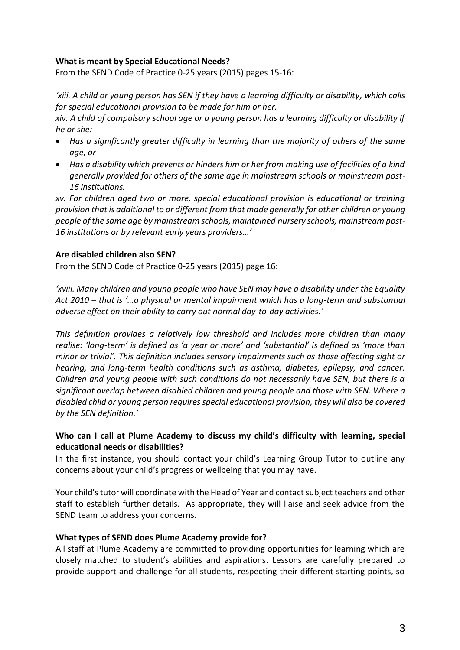### **What is meant by Special Educational Needs?**

From the SEND Code of Practice 0-25 years (2015) pages 15-16:

*'xiii. A child or young person has SEN if they have a learning difficulty or disability, which calls for special educational provision to be made for him or her.* 

*xiv. A child of compulsory school age or a young person has a learning difficulty or disability if he or she:* 

- *Has a significantly greater difficulty in learning than the majority of others of the same age, or*
- *Has a disability which prevents or hinders him or her from making use of facilities of a kind generally provided for others of the same age in mainstream schools or mainstream post-16 institutions.*

*xv. For children aged two or more, special educational provision is educational or training provision that is additional to or different from that made generally for other children or young people of the same age by mainstream schools, maintained nursery schools, mainstream post-16 institutions or by relevant early years providers…'*

### **Are disabled children also SEN?**

From the SEND Code of Practice 0-25 years (2015) page 16:

*'xviii. Many children and young people who have SEN may have a disability under the Equality Act 2010 – that is '…a physical or mental impairment which has a long-term and substantial adverse effect on their ability to carry out normal day-to-day activities.'*

*This definition provides a relatively low threshold and includes more children than many realise: 'long-term' is defined as 'a year or more' and 'substantial' is defined as 'more than minor or trivial'. This definition includes sensory impairments such as those affecting sight or hearing, and long-term health conditions such as asthma, diabetes, epilepsy, and cancer. Children and young people with such conditions do not necessarily have SEN, but there is a significant overlap between disabled children and young people and those with SEN. Where a disabled child or young person requires special educational provision, they will also be covered by the SEN definition.'*

# **Who can I call at Plume Academy to discuss my child's difficulty with learning, special educational needs or disabilities?**

In the first instance, you should contact your child's Learning Group Tutor to outline any concerns about your child's progress or wellbeing that you may have.

Your child's tutor will coordinate with the Head of Year and contact subject teachers and other staff to establish further details. As appropriate, they will liaise and seek advice from the SEND team to address your concerns.

#### **What types of SEND does Plume Academy provide for?**

All staff at Plume Academy are committed to providing opportunities for learning which are closely matched to student's abilities and aspirations. Lessons are carefully prepared to provide support and challenge for all students, respecting their different starting points, so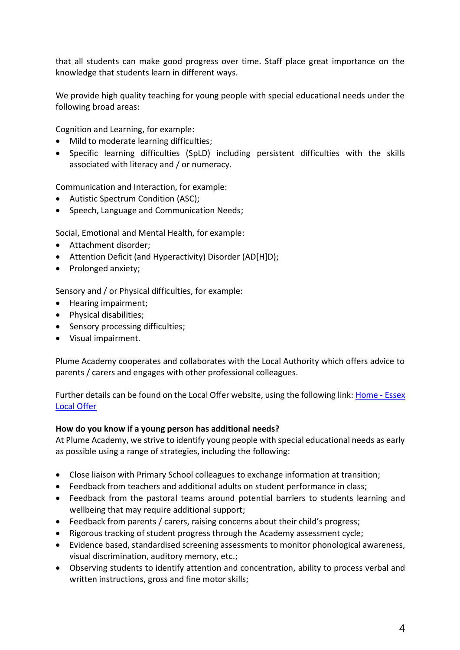that all students can make good progress over time. Staff place great importance on the knowledge that students learn in different ways.

We provide high quality teaching for young people with special educational needs under the following broad areas:

Cognition and Learning, for example:

- $\bullet$  Mild to moderate learning difficulties;
- Specific learning difficulties (SpLD) including persistent difficulties with the skills associated with literacy and / or numeracy.

Communication and Interaction, for example:

- Autistic Spectrum Condition (ASC);
- Speech, Language and Communication Needs;

Social, Emotional and Mental Health, for example:

- Attachment disorder;
- Attention Deficit (and Hyperactivity) Disorder (AD[H]D);
- Prolonged anxiety;

Sensory and / or Physical difficulties, for example:

- Hearing impairment;
- Physical disabilities;
- Sensory processing difficulties;
- Visual impairment.

Plume Academy cooperates and collaborates with the Local Authority which offers advice to parents / carers and engages with other professional colleagues.

Further details can be found on the Local Offer website, using the following link: [Home -](https://www.essexlocaloffer.org.uk/) Essex [Local Offer](https://www.essexlocaloffer.org.uk/)

#### **How do you know if a young person has additional needs?**

At Plume Academy, we strive to identify young people with special educational needs as early as possible using a range of strategies, including the following:

- Close liaison with Primary School colleagues to exchange information at transition;
- Feedback from teachers and additional adults on student performance in class;
- Feedback from the pastoral teams around potential barriers to students learning and wellbeing that may require additional support;
- Feedback from parents / carers, raising concerns about their child's progress;
- Rigorous tracking of student progress through the Academy assessment cycle;
- Evidence based, standardised screening assessments to monitor phonological awareness, visual discrimination, auditory memory, etc.;
- Observing students to identify attention and concentration, ability to process verbal and written instructions, gross and fine motor skills;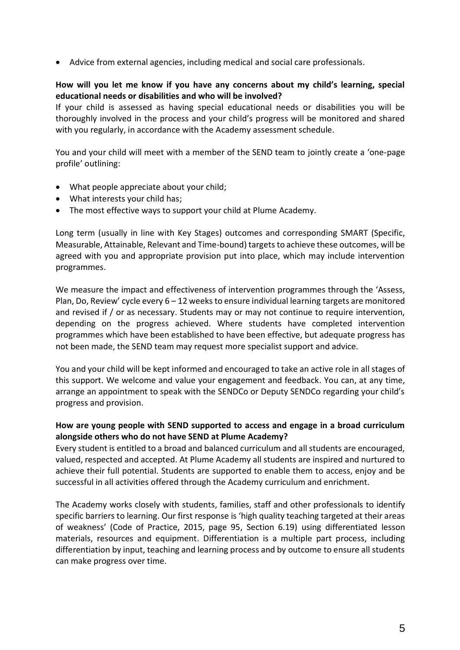Advice from external agencies, including medical and social care professionals.

# **How will you let me know if you have any concerns about my child's learning, special educational needs or disabilities and who will be involved?**

If your child is assessed as having special educational needs or disabilities you will be thoroughly involved in the process and your child's progress will be monitored and shared with you regularly, in accordance with the Academy assessment schedule.

You and your child will meet with a member of the SEND team to jointly create a 'one-page profile' outlining:

- What people appreciate about your child;
- What interests your child has;
- The most effective ways to support your child at Plume Academy.

Long term (usually in line with Key Stages) outcomes and corresponding SMART (Specific, Measurable, Attainable, Relevant and Time-bound) targets to achieve these outcomes, will be agreed with you and appropriate provision put into place, which may include intervention programmes.

We measure the impact and effectiveness of intervention programmes through the 'Assess, Plan, Do, Review' cycle every 6 – 12 weeks to ensure individual learning targets are monitored and revised if / or as necessary. Students may or may not continue to require intervention, depending on the progress achieved. Where students have completed intervention programmes which have been established to have been effective, but adequate progress has not been made, the SEND team may request more specialist support and advice.

You and your child will be kept informed and encouraged to take an active role in all stages of this support. We welcome and value your engagement and feedback. You can, at any time, arrange an appointment to speak with the SENDCo or Deputy SENDCo regarding your child's progress and provision.

# **How are young people with SEND supported to access and engage in a broad curriculum alongside others who do not have SEND at Plume Academy?**

Every student is entitled to a broad and balanced curriculum and all students are encouraged, valued, respected and accepted. At Plume Academy all students are inspired and nurtured to achieve their full potential. Students are supported to enable them to access, enjoy and be successful in all activities offered through the Academy curriculum and enrichment.

The Academy works closely with students, families, staff and other professionals to identify specific barriers to learning. Our first response is 'high quality teaching targeted at their areas of weakness' (Code of Practice, 2015, page 95, Section 6.19) using differentiated lesson materials, resources and equipment. Differentiation is a multiple part process, including differentiation by input, teaching and learning process and by outcome to ensure all students can make progress over time.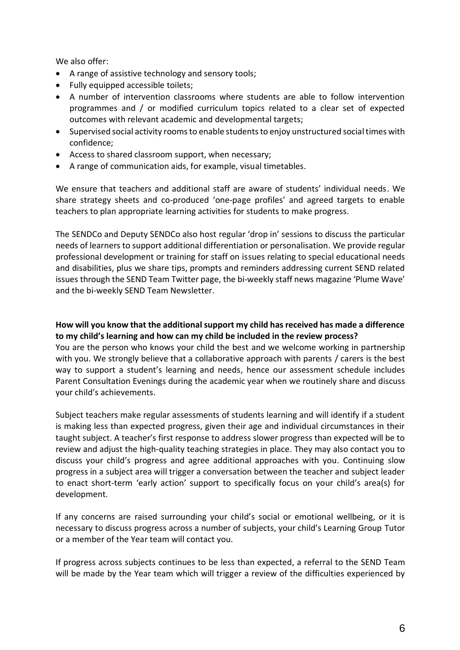We also offer:

- A range of assistive technology and sensory tools;
- Fully equipped accessible toilets;
- A number of intervention classrooms where students are able to follow intervention programmes and / or modified curriculum topics related to a clear set of expected outcomes with relevant academic and developmental targets;
- Supervised social activity rooms to enable students to enjoy unstructured social times with confidence;
- Access to shared classroom support, when necessary;
- A range of communication aids, for example, visual timetables.

We ensure that teachers and additional staff are aware of students' individual needs. We share strategy sheets and co-produced 'one-page profiles' and agreed targets to enable teachers to plan appropriate learning activities for students to make progress.

The SENDCo and Deputy SENDCo also host regular 'drop in' sessions to discuss the particular needs of learners to support additional differentiation or personalisation. We provide regular professional development or training for staff on issues relating to special educational needs and disabilities, plus we share tips, prompts and reminders addressing current SEND related issues through the SEND Team Twitter page, the bi-weekly staff news magazine 'Plume Wave' and the bi-weekly SEND Team Newsletter.

# **How will you know that the additional support my child has received has made a difference to my child's learning and how can my child be included in the review process?**

You are the person who knows your child the best and we welcome working in partnership with you. We strongly believe that a collaborative approach with parents / carers is the best way to support a student's learning and needs, hence our assessment schedule includes Parent Consultation Evenings during the academic year when we routinely share and discuss your child's achievements.

Subject teachers make regular assessments of students learning and will identify if a student is making less than expected progress, given their age and individual circumstances in their taught subject. A teacher's first response to address slower progress than expected will be to review and adjust the high-quality teaching strategies in place. They may also contact you to discuss your child's progress and agree additional approaches with you. Continuing slow progress in a subject area will trigger a conversation between the teacher and subject leader to enact short-term 'early action' support to specifically focus on your child's area(s) for development.

If any concerns are raised surrounding your child's social or emotional wellbeing, or it is necessary to discuss progress across a number of subjects, your child's Learning Group Tutor or a member of the Year team will contact you.

If progress across subjects continues to be less than expected, a referral to the SEND Team will be made by the Year team which will trigger a review of the difficulties experienced by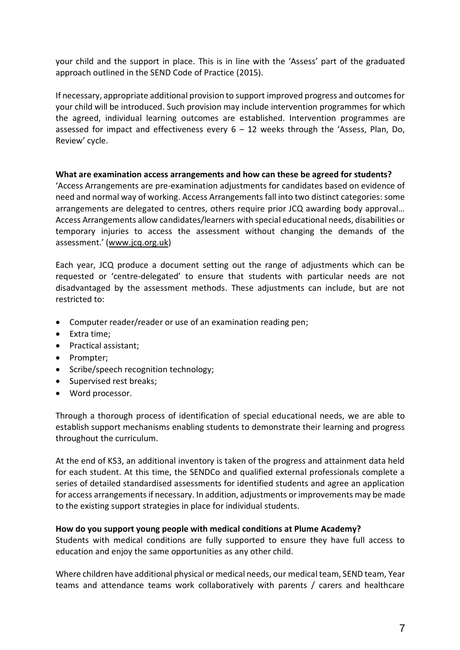your child and the support in place. This is in line with the 'Assess' part of the graduated approach outlined in the SEND Code of Practice (2015).

If necessary, appropriate additional provision to support improved progress and outcomes for your child will be introduced. Such provision may include intervention programmes for which the agreed, individual learning outcomes are established. Intervention programmes are assessed for impact and effectiveness every  $6 - 12$  weeks through the 'Assess, Plan, Do, Review' cycle.

#### **What are examination access arrangements and how can these be agreed for students?**

'Access Arrangements are pre-examination adjustments for candidates based on evidence of need and normal way of working. Access Arrangements fall into two distinct categories: some arrangements are delegated to centres, others require prior JCQ awarding body approval… Access Arrangements allow candidates/learners with special educational needs, disabilities or temporary injuries to access the assessment without changing the demands of the assessment.' ([www.jcq.org.uk\)](http://www.jcq.org.uk/)

Each year, JCQ produce a document setting out the range of adjustments which can be requested or 'centre-delegated' to ensure that students with particular needs are not disadvantaged by the assessment methods. These adjustments can include, but are not restricted to:

- Computer reader/reader or use of an examination reading pen;
- Extra time;
- Practical assistant;
- Prompter;
- Scribe/speech recognition technology;
- Supervised rest breaks;
- Word processor.

Through a thorough process of identification of special educational needs, we are able to establish support mechanisms enabling students to demonstrate their learning and progress throughout the curriculum.

At the end of KS3, an additional inventory is taken of the progress and attainment data held for each student. At this time, the SENDCo and qualified external professionals complete a series of detailed standardised assessments for identified students and agree an application for access arrangements if necessary. In addition, adjustments or improvements may be made to the existing support strategies in place for individual students.

#### **How do you support young people with medical conditions at Plume Academy?**

Students with medical conditions are fully supported to ensure they have full access to education and enjoy the same opportunities as any other child.

Where children have additional physical or medical needs, our medical team, SEND team, Year teams and attendance teams work collaboratively with parents / carers and healthcare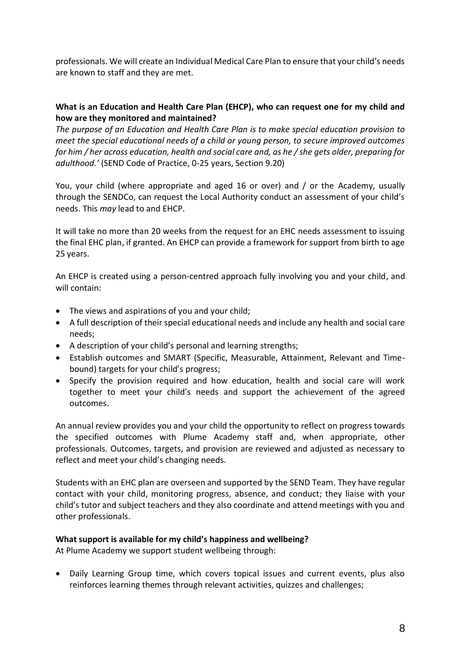professionals. We will create an Individual Medical Care Plan to ensure that your child's needs are known to staff and they are met.

## **What is an Education and Health Care Plan (EHCP), who can request one for my child and how are they monitored and maintained?**

*The purpose of an Education and Health Care Plan is to make special education provision to meet the special educational needs of a child or young person, to secure improved outcomes for him / her across education, health and social care and, as he / she gets older, preparing for adulthood.'* (SEND Code of Practice, 0-25 years, Section 9.20)

You, your child (where appropriate and aged 16 or over) and / or the Academy, usually through the SENDCo, can request the Local Authority conduct an assessment of your child's needs. This *may* lead to and EHCP.

It will take no more than 20 weeks from the request for an EHC needs assessment to issuing the final EHC plan, if granted. An EHCP can provide a framework for support from birth to age 25 years.

An EHCP is created using a person-centred approach fully involving you and your child, and will contain:

- The views and aspirations of you and your child;
- A full description of their special educational needs and include any health and social care needs;
- A description of your child's personal and learning strengths;
- Establish outcomes and SMART (Specific, Measurable, Attainment, Relevant and Timebound) targets for your child's progress;
- Specify the provision required and how education, health and social care will work together to meet your child's needs and support the achievement of the agreed outcomes.

An annual review provides you and your child the opportunity to reflect on progress towards the specified outcomes with Plume Academy staff and, when appropriate, other professionals. Outcomes, targets, and provision are reviewed and adjusted as necessary to reflect and meet your child's changing needs.

Students with an EHC plan are overseen and supported by the SEND Team. They have regular contact with your child, monitoring progress, absence, and conduct; they liaise with your child's tutor and subject teachers and they also coordinate and attend meetings with you and other professionals.

# **What support is available for my child's happiness and wellbeing?**

At Plume Academy we support student wellbeing through:

 Daily Learning Group time, which covers topical issues and current events, plus also reinforces learning themes through relevant activities, quizzes and challenges;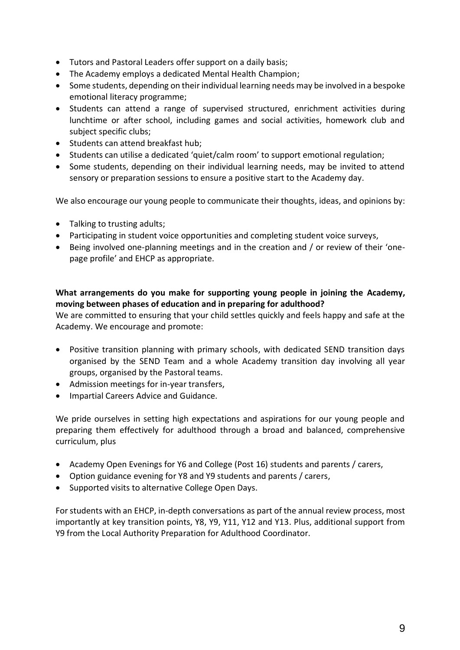- Tutors and Pastoral Leaders offer support on a daily basis;
- The Academy employs a dedicated Mental Health Champion;
- Some students, depending on their individual learning needs may be involved in a bespoke emotional literacy programme;
- Students can attend a range of supervised structured, enrichment activities during lunchtime or after school, including games and social activities, homework club and subject specific clubs;
- Students can attend breakfast hub;
- Students can utilise a dedicated 'quiet/calm room' to support emotional regulation;
- Some students, depending on their individual learning needs, may be invited to attend sensory or preparation sessions to ensure a positive start to the Academy day.

We also encourage our young people to communicate their thoughts, ideas, and opinions by:

- Talking to trusting adults;
- Participating in student voice opportunities and completing student voice surveys,
- Being involved one-planning meetings and in the creation and / or review of their 'onepage profile' and EHCP as appropriate.

# **What arrangements do you make for supporting young people in joining the Academy, moving between phases of education and in preparing for adulthood?**

We are committed to ensuring that your child settles quickly and feels happy and safe at the Academy. We encourage and promote:

- Positive transition planning with primary schools, with dedicated SEND transition days organised by the SEND Team and a whole Academy transition day involving all year groups, organised by the Pastoral teams.
- Admission meetings for in-year transfers,
- Impartial Careers Advice and Guidance.

We pride ourselves in setting high expectations and aspirations for our young people and preparing them effectively for adulthood through a broad and balanced, comprehensive curriculum, plus

- Academy Open Evenings for Y6 and College (Post 16) students and parents / carers,
- Option guidance evening for Y8 and Y9 students and parents / carers,
- Supported visits to alternative College Open Days.

For students with an EHCP, in-depth conversations as part of the annual review process, most importantly at key transition points, Y8, Y9, Y11, Y12 and Y13. Plus, additional support from Y9 from the Local Authority Preparation for Adulthood Coordinator.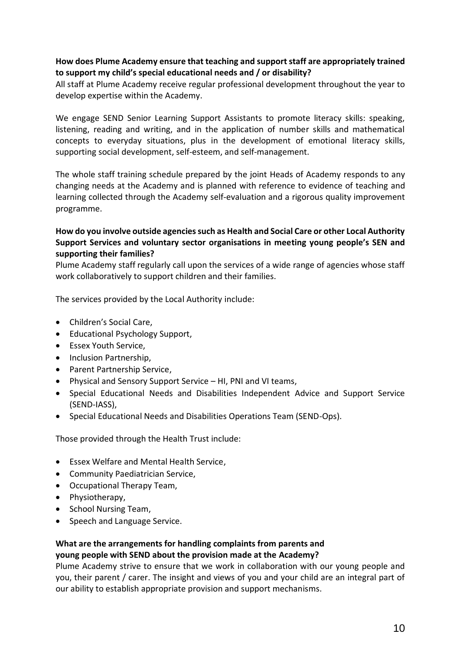# **How does Plume Academy ensure that teaching and support staff are appropriately trained to support my child's special educational needs and / or disability?**

All staff at Plume Academy receive regular professional development throughout the year to develop expertise within the Academy.

We engage SEND Senior Learning Support Assistants to promote literacy skills: speaking, listening, reading and writing, and in the application of number skills and mathematical concepts to everyday situations, plus in the development of emotional literacy skills, supporting social development, self-esteem, and self-management.

The whole staff training schedule prepared by the joint Heads of Academy responds to any changing needs at the Academy and is planned with reference to evidence of teaching and learning collected through the Academy self-evaluation and a rigorous quality improvement programme.

# **How do you involve outside agencies such as Health and Social Care or other Local Authority Support Services and voluntary sector organisations in meeting young people's SEN and supporting their families?**

Plume Academy staff regularly call upon the services of a wide range of agencies whose staff work collaboratively to support children and their families.

The services provided by the Local Authority include:

- Children's Social Care,
- Educational Psychology Support,
- Essex Youth Service,
- Inclusion Partnership,
- Parent Partnership Service.
- Physical and Sensory Support Service HI, PNI and VI teams,
- Special Educational Needs and Disabilities Independent Advice and Support Service (SEND-IASS),
- Special Educational Needs and Disabilities Operations Team (SEND-Ops).

Those provided through the Health Trust include:

- Essex Welfare and Mental Health Service,
- Community Paediatrician Service,
- Occupational Therapy Team,
- Physiotherapy,
- School Nursing Team,
- Speech and Language Service.

# **What are the arrangements for handling complaints from parents and young people with SEND about the provision made at the Academy?**

Plume Academy strive to ensure that we work in collaboration with our young people and you, their parent / carer. The insight and views of you and your child are an integral part of our ability to establish appropriate provision and support mechanisms.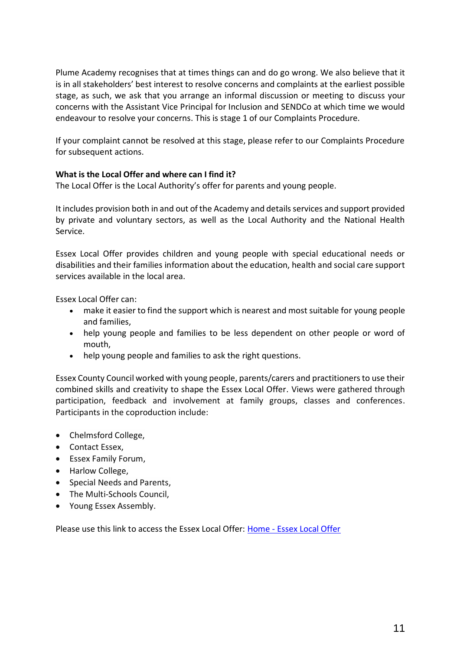Plume Academy recognises that at times things can and do go wrong. We also believe that it is in all stakeholders' best interest to resolve concerns and complaints at the earliest possible stage, as such, we ask that you arrange an informal discussion or meeting to discuss your concerns with the Assistant Vice Principal for Inclusion and SENDCo at which time we would endeavour to resolve your concerns. This is stage 1 of our Complaints Procedure.

If your complaint cannot be resolved at this stage, please refer to our Complaints Procedure for subsequent actions.

# **What is the Local Offer and where can I find it?**

The Local Offer is the Local Authority's offer for parents and young people.

It includes provision both in and out of the Academy and details services and support provided by private and voluntary sectors, as well as the Local Authority and the National Health Service.

Essex Local Offer provides children and young people with special educational needs or disabilities and their families information about the education, health and social care support services available in the local area.

Essex Local Offer can:

- make it easier to find the support which is nearest and most suitable for young people and families,
- help young people and families to be less dependent on other people or word of mouth,
- help young people and families to ask the right questions.

Essex County Council worked with young people, parents/carers and practitioners to use their combined skills and creativity to shape the Essex Local Offer. Views were gathered through participation, feedback and involvement at family groups, classes and conferences. Participants in the coproduction include:

- Chelmsford College.
- Contact Essex,
- Essex Family Forum,
- Harlow College.
- Special Needs and Parents,
- The Multi-Schools Council,
- Young Essex Assembly.

Please use this link to access the Essex Local Offer: Home - [Essex Local Offer](https://www.essexlocaloffer.org.uk/)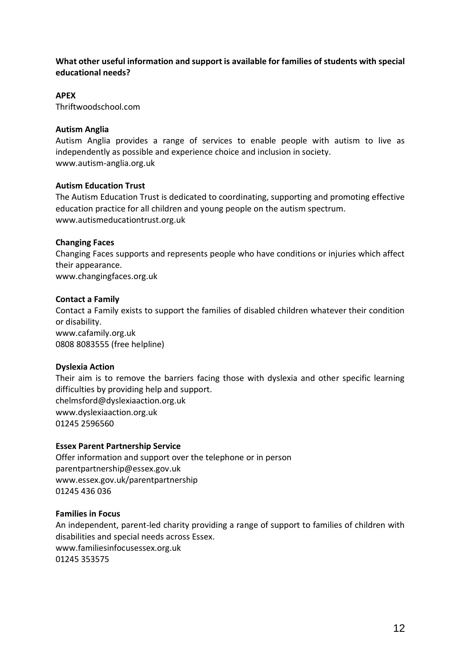# **What other useful information and support is available for families of students with special educational needs?**

# **APEX**

Thriftwoodschool.com

#### **Autism Anglia**

Autism Anglia provides a range of services to enable people with autism to live as independently as possible and experience choice and inclusion in society. [www.autism-anglia.org.uk](http://www.autism-anglia.org.uk/)

#### **Autism Education Trust**

The Autism Education Trust is dedicated to coordinating, supporting and promoting effective education practice for all children and young people on the autism spectrum. [www.autismeducationtrust.org.uk](http://www.autismeducationtrust.org.uk/)

### **Changing Faces**

Changing Faces supports and represents people who have conditions or injuries which affect their appearance.

[www.changingfaces.org.uk](http://www.changingfaces.org.uk/)

### **Contact a Family**

Contact a Family exists to support the families of disabled children whatever their condition or disability. [www.cafamily.org.uk](http://www.cafamily.org.uk/) 0808 8083555 (free helpline)

#### **Dyslexia Action**

Their aim is to remove the barriers facing those with dyslexia and other specific learning difficulties by providing help and support. [chelmsford@dyslexiaaction.org.uk](mailto:chelmsford@dyslexiaaction.org.uk) [www.dyslexiaaction.org.uk](http://www.dyslexiaaction.org.uk/) 01245 2596560

#### **Essex Parent Partnership Service**

Offer information and support over the telephone or in person [parentpartnership@essex.gov.uk](mailto:parentpartnership@essex.gov.uk) [www.essex.gov.uk/parentpartnership](http://www.essex.gov.uk/parentpartnership) 01245 436 036

#### **Families in Focus**

An independent, parent-led charity providing a range of support to families of children with disabilities and special needs across Essex. [www.familiesinfocusessex.org.uk](http://www.familiesinfocusessex.org.uk/) 01245 353575